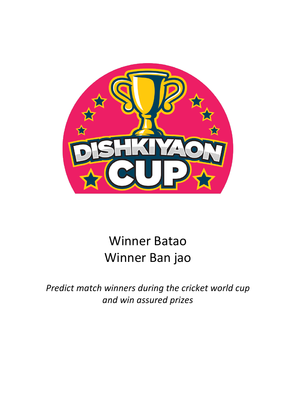

# Winner Batao Winner Ban jao

*Predict match winners during the cricket world cup and win assured prizes*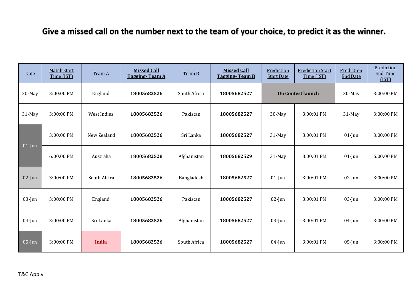### **Give a missed call on the number next to the team of your choice, to predict it as the winner.**

| Date      | <b>Match Start</b><br>Time (IST) | Team A       | <b>Missed Call</b><br><b>Tagging-Team A</b> | Team B       | <b>Missed Call</b><br><b>Tagging-Team B</b> | Prediction<br><b>Start Date</b> | <b>Prediction Start</b><br>Time (IST) | Prediction<br><b>End Date</b> | Prediction<br><b>End Time</b><br>(IST) |
|-----------|----------------------------------|--------------|---------------------------------------------|--------------|---------------------------------------------|---------------------------------|---------------------------------------|-------------------------------|----------------------------------------|
| 30-May    | 3:00:00 PM                       | England      | 18005682526                                 | South Africa | 18005682527                                 |                                 | <b>On Contest launch</b>              | 30-May                        | 3:00:00 PM                             |
| 31-May    | 3:00:00 PM                       | West Indies  | 18005682526                                 | Pakistan     | 18005682527                                 | $30$ -May                       | 3:00:01 PM                            | $31$ -May                     | 3:00:00 PM                             |
| $01$ -Jun | 3:00:00 PM                       | New Zealand  | 18005682526                                 | Sri Lanka    | 18005682527                                 | 31-May                          | 3:00:01 PM                            | $01$ -Jun                     | 3:00:00 PM                             |
|           | 6:00:00 PM                       | Australia    | 18005682528                                 | Afghanistan  | 18005682529                                 | 31-May                          | 3:00:01 PM                            | $01$ -Jun                     | 6:00:00 PM                             |
| $02$ -Jun | 3:00:00 PM                       | South Africa | 18005682526                                 | Bangladesh   | 18005682527                                 | $01$ -Jun                       | 3:00:01 PM                            | $02$ -Jun                     | 3:00:00 PM                             |
| $03$ -Jun | 3:00:00 PM                       | England      | 18005682526                                 | Pakistan     | 18005682527                                 | $02$ -Jun                       | 3:00:01 PM                            | $03$ -Jun                     | 3:00:00 PM                             |
| $04$ -Jun | 3:00:00 PM                       | Sri Lanka    | 18005682526                                 | Afghanistan  | 18005682527                                 | $03$ -Jun                       | 3:00:01 PM                            | $04$ -Jun                     | 3:00:00 PM                             |
| $05$ -Jun | 3:00:00 PM                       | <b>India</b> | 18005682526                                 | South Africa | 18005682527                                 | $04$ -Jun                       | 3:00:01 PM                            | $05$ -Jun                     | 3:00:00 PM                             |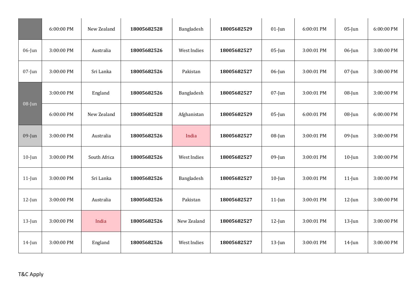|           | 6:00:00 PM | New Zealand  | 18005682528 | Bangladesh  | 18005682529 | $01$ -Jun | 6:00:01 PM | $05$ -Jun | 6:00:00 PM |
|-----------|------------|--------------|-------------|-------------|-------------|-----------|------------|-----------|------------|
| $06$ -Jun | 3:00:00 PM | Australia    | 18005682526 | West Indies | 18005682527 | $05$ -Jun | 3:00:01 PM | $06$ -Jun | 3:00:00 PM |
| $07$ -Jun | 3:00:00 PM | Sri Lanka    | 18005682526 | Pakistan    | 18005682527 | $06$ -Jun | 3:00:01 PM | $07$ -Jun | 3:00:00 PM |
| 08-Jun    | 3:00:00 PM | England      | 18005682526 | Bangladesh  | 18005682527 | $07$ -Jun | 3:00:01 PM | $08$ -Jun | 3:00:00 PM |
|           | 6:00:00 PM | New Zealand  | 18005682528 | Afghanistan | 18005682529 | $05$ -Jun | 6:00:01 PM | $08$ -Jun | 6:00:00 PM |
| $09$ -Jun | 3:00:00 PM | Australia    | 18005682526 | India       | 18005682527 | $08$ -Jun | 3:00:01 PM | $09$ -Jun | 3:00:00 PM |
| $10$ -Jun | 3:00:00 PM | South Africa | 18005682526 | West Indies | 18005682527 | $09$ -Jun | 3:00:01 PM | $10$ -Jun | 3:00:00 PM |
| $11$ -Jun | 3:00:00 PM | Sri Lanka    | 18005682526 | Bangladesh  | 18005682527 | $10$ -Jun | 3:00:01 PM | $11$ -Jun | 3:00:00 PM |
| $12$ -Jun | 3:00:00 PM | Australia    | 18005682526 | Pakistan    | 18005682527 | $11$ -Jun | 3:00:01 PM | $12$ -Jun | 3:00:00 PM |
| $13$ -Jun | 3:00:00 PM | India        | 18005682526 | New Zealand | 18005682527 | $12$ -Jun | 3:00:01 PM | $13$ -Jun | 3:00:00 PM |
| $14$ -Jun | 3:00:00 PM | England      | 18005682526 | West Indies | 18005682527 | $13$ -Jun | 3:00:01 PM | $14$ -Jun | 3:00:00 PM |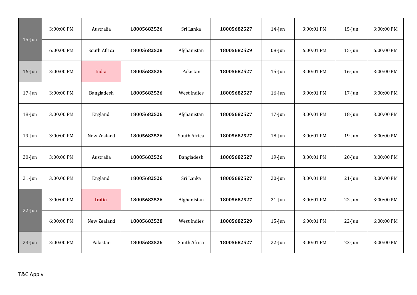|           | 3:00:00 PM | Australia    | 18005682526 | Sri Lanka    | 18005682527 | $14$ -Jun | 3:00:01 PM | $15$ -Jun | 3:00:00 PM |
|-----------|------------|--------------|-------------|--------------|-------------|-----------|------------|-----------|------------|
| $15$ -Jun | 6:00:00 PM | South Africa | 18005682528 | Afghanistan  | 18005682529 | $08$ -Jun | 6:00:01 PM | $15$ -Jun | 6:00:00 PM |
| $16$ -Jun | 3:00:00 PM | India        | 18005682526 | Pakistan     | 18005682527 | $15$ -Jun | 3:00:01 PM | $16$ -Jun | 3:00:00 PM |
| $17$ -Jun | 3:00:00 PM | Bangladesh   | 18005682526 | West Indies  | 18005682527 | $16$ -Jun | 3:00:01 PM | $17$ -Jun | 3:00:00 PM |
| $18$ -Jun | 3:00:00 PM | England      | 18005682526 | Afghanistan  | 18005682527 | $17$ -Jun | 3:00:01 PM | $18$ -Jun | 3:00:00 PM |
| $19$ -Jun | 3:00:00 PM | New Zealand  | 18005682526 | South Africa | 18005682527 | $18$ -Jun | 3:00:01 PM | $19$ -Jun | 3:00:00 PM |
| $20$ -Jun | 3:00:00 PM | Australia    | 18005682526 | Bangladesh   | 18005682527 | $19$ -Jun | 3:00:01 PM | $20$ -Jun | 3:00:00 PM |
| $21$ -Jun | 3:00:00 PM | England      | 18005682526 | Sri Lanka    | 18005682527 | $20$ -Jun | 3:00:01 PM | $21$ -Jun | 3:00:00 PM |
|           | 3:00:00 PM | <b>India</b> | 18005682526 | Afghanistan  | 18005682527 | $21$ -Jun | 3:00:01 PM | $22$ -Jun | 3:00:00 PM |
| $22$ -Jun | 6:00:00 PM | New Zealand  | 18005682528 | West Indies  | 18005682529 | $15$ -Jun | 6:00:01 PM | $22$ -Jun | 6:00:00 PM |
| $23$ -Jun | 3:00:00 PM | Pakistan     | 18005682526 | South Africa | 18005682527 | $22$ -Jun | 3:00:01 PM | $23$ -Jun | 3:00:00 PM |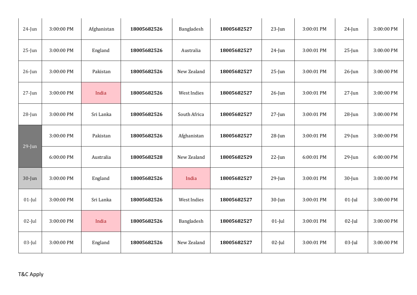| $24$ -Jun | 3:00:00 PM | Afghanistan | 18005682526 | Bangladesh         | 18005682527 | $23$ -Jun | 3:00:01 PM | $24$ -Jun | 3:00:00 PM |
|-----------|------------|-------------|-------------|--------------------|-------------|-----------|------------|-----------|------------|
| $25$ -Jun | 3:00:00 PM | England     | 18005682526 | Australia          | 18005682527 | $24$ -Jun | 3:00:01 PM | $25$ -Jun | 3:00:00 PM |
| $26$ -Jun | 3:00:00 PM | Pakistan    | 18005682526 | New Zealand        | 18005682527 | $25$ -Jun | 3:00:01 PM | $26$ -Jun | 3:00:00 PM |
| $27$ -Jun | 3:00:00 PM | India       | 18005682526 | West Indies        | 18005682527 | $26$ -Jun | 3:00:01 PM | $27$ -Jun | 3:00:00 PM |
| $28$ -Jun | 3:00:00 PM | Sri Lanka   | 18005682526 | South Africa       | 18005682527 | $27$ -Jun | 3:00:01 PM | $28$ -Jun | 3:00:00 PM |
|           | 3:00:00 PM | Pakistan    | 18005682526 | Afghanistan        | 18005682527 | $28$ -Jun | 3:00:01 PM | $29$ -Jun | 3:00:00 PM |
| $29$ -Jun | 6:00:00 PM | Australia   | 18005682528 | New Zealand        | 18005682529 | $22$ -Jun | 6:00:01 PM | $29$ -Jun | 6:00:00 PM |
| $30$ -Jun | 3:00:00 PM | England     | 18005682526 | India              | 18005682527 | $29$ -Jun | 3:00:01 PM | $30$ -Jun | 3:00:00 PM |
| $01$ -Jul | 3:00:00 PM | Sri Lanka   | 18005682526 | <b>West Indies</b> | 18005682527 | $30$ -Jun | 3:00:01 PM | $01$ -Jul | 3:00:00 PM |
| $02$ -Jul | 3:00:00 PM | India       | 18005682526 | Bangladesh         | 18005682527 | $01$ -Jul | 3:00:01 PM | $02$ -Jul | 3:00:00 PM |
| $03$ -Jul | 3:00:00 PM | England     | 18005682526 | New Zealand        | 18005682527 | $02$ -Jul | 3:00:01 PM | $03$ -Jul | 3:00:00 PM |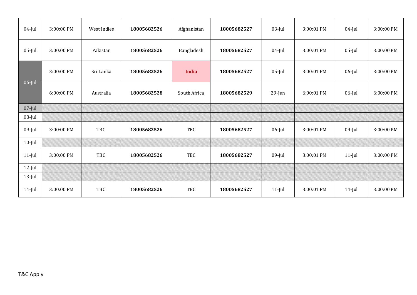| $04$ -Jul | 3:00:00 PM | West Indies | 18005682526 | Afghanistan  | 18005682527 | $03$ -Jul | 3:00:01 PM | $04$ -Jul | 3:00:00 PM |
|-----------|------------|-------------|-------------|--------------|-------------|-----------|------------|-----------|------------|
| $05$ -Jul | 3:00:00 PM | Pakistan    | 18005682526 | Bangladesh   | 18005682527 | $04$ -Jul | 3:00:01 PM | $05$ -Jul | 3:00:00 PM |
|           | 3:00:00 PM | Sri Lanka   | 18005682526 | <b>India</b> | 18005682527 | $05$ -Jul | 3:00:01 PM | $06$ -Jul | 3:00:00 PM |
| $06$ -Jul | 6:00:00 PM | Australia   | 18005682528 | South Africa | 18005682529 | $29$ -Jun | 6:00:01 PM | $06$ -Jul | 6:00:00 PM |
| $07$ -Jul |            |             |             |              |             |           |            |           |            |
| $08$ -Jul |            |             |             |              |             |           |            |           |            |
| $09$ -Jul | 3:00:00 PM | TBC         | 18005682526 | TBC          | 18005682527 | $06$ -Jul | 3:00:01 PM | $09$ -Jul | 3:00:00 PM |
| $10$ -Jul |            |             |             |              |             |           |            |           |            |
| $11$ -Jul | 3:00:00 PM | <b>TBC</b>  | 18005682526 | TBC          | 18005682527 | $09$ -Jul | 3:00:01 PM | $11$ -Jul | 3:00:00 PM |
| $12$ -Jul |            |             |             |              |             |           |            |           |            |
| $13$ -Jul |            |             |             |              |             |           |            |           |            |
| $14$ -Jul | 3:00:00 PM | TBC         | 18005682526 | TBC          | 18005682527 | $11$ -Jul | 3:00:01 PM | $14$ -Jul | 3:00:00 PM |